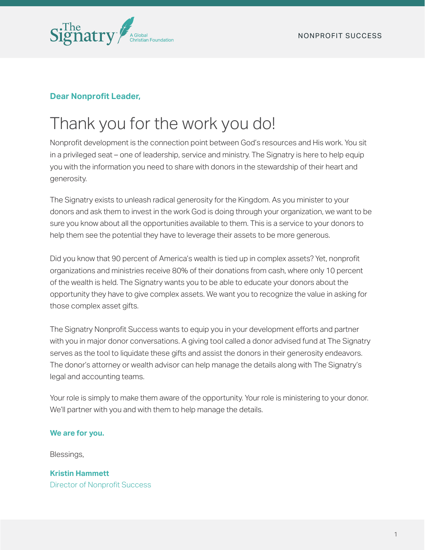

### **Dear Nonprofit Leader,**

# Thank you for the work you do!

Nonprofit development is the connection point between God's resources and His work. You sit in a privileged seat – one of leadership, service and ministry. The Signatry is here to help equip you with the information you need to share with donors in the stewardship of their heart and generosity.

The Signatry exists to unleash radical generosity for the Kingdom. As you minister to your donors and ask them to invest in the work God is doing through your organization, we want to be sure you know about all the opportunities available to them. This is a service to your donors to help them see the potential they have to leverage their assets to be more generous.

Did you know that 90 percent of America's wealth is tied up in complex assets? Yet, nonprofit organizations and ministries receive 80% of their donations from cash, where only 10 percent of the wealth is held. The Signatry wants you to be able to educate your donors about the opportunity they have to give complex assets. We want you to recognize the value in asking for those complex asset gifts.

The Signatry Nonprofit Success wants to equip you in your development efforts and partner with you in major donor conversations. A giving tool called a donor advised fund at The Signatry serves as the tool to liquidate these gifts and assist the donors in their generosity endeavors. The donor's attorney or wealth advisor can help manage the details along with The Signatry's legal and accounting teams.

Your role is simply to make them aware of the opportunity. Your role is ministering to your donor. We'll partner with you and with them to help manage the details.

#### **We are for you.**

Blessings,

**Kristin Hammett**  Director of Nonprofit Success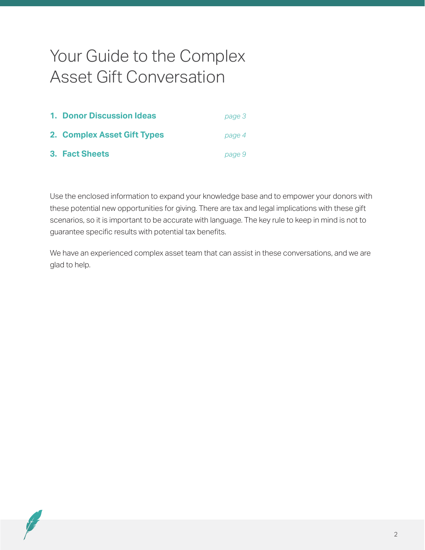## Your Guide to the Complex Asset Gift Conversation

| <b>1. Donor Discussion Ideas</b> | page 3 |
|----------------------------------|--------|
| 2. Complex Asset Gift Types      | page 4 |
| <b>3. Fact Sheets</b>            | page 9 |

Use the enclosed information to expand your knowledge base and to empower your donors with these potential new opportunities for giving. There are tax and legal implications with these gift scenarios, so it is important to be accurate with language. The key rule to keep in mind is not to guarantee specific results with potential tax benefits.

We have an experienced complex asset team that can assist in these conversations, and we are glad to help.

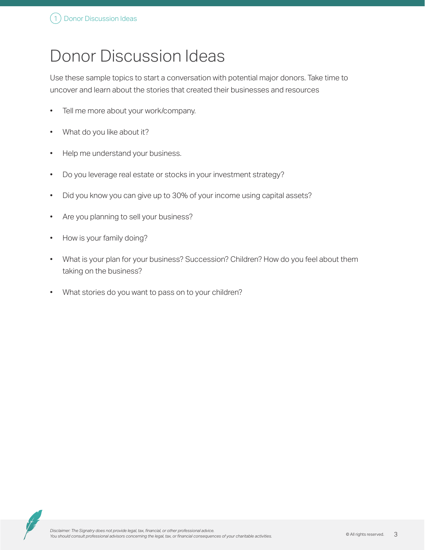# Donor Discussion Ideas

Use these sample topics to start a conversation with potential major donors. Take time to uncover and learn about the stories that created their businesses and resources

- Tell me more about your work/company.
- What do you like about it?
- Help me understand your business.
- Do you leverage real estate or stocks in your investment strategy?
- Did you know you can give up to 30% of your income using capital assets?
- Are you planning to sell your business?
- How is your family doing?
- What is your plan for your business? Succession? Children? How do you feel about them taking on the business?
- What stories do you want to pass on to your children?

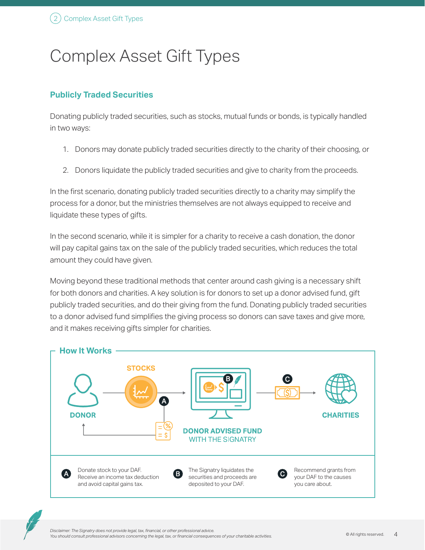# Complex Asset Gift Types

### **Publicly Traded Securities**

Donating publicly traded securities, such as stocks, mutual funds or bonds, is typically handled in two ways:

- 1. Donors may donate publicly traded securities directly to the charity of their choosing, or
- 2. Donors liquidate the publicly traded securities and give to charity from the proceeds.

In the frst scenario, donating publicly traded securities directly to a charity may simplify the process for a donor, but the ministries themselves are not always equipped to receive and liquidate these types of gifts.

In the second scenario, while it is simpler for a charity to receive a cash donation, the donor will pay capital gains tax on the sale of the publicly traded securities, which reduces the total amount they could have given.

Moving beyond these traditional methods that center around cash giving is a necessary shift for both donors and charities. A key solution is for donors to set up a donor advised fund, gift publicly traded securities, and do their giving from the fund. Donating publicly traded securities to a donor advised fund simplifies the giving process so donors can save taxes and give more, and it makes receiving gifts simpler for charities.



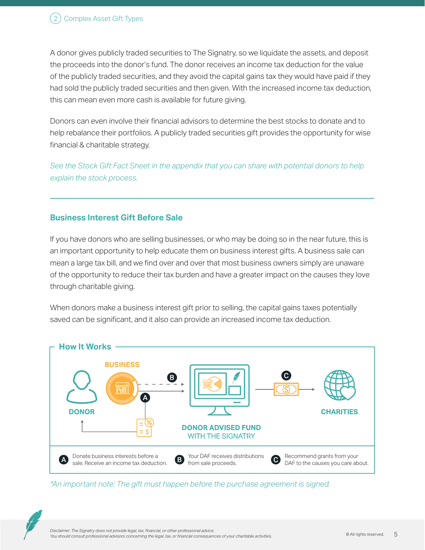A donor gives publicly traded securities to The Signatry, so we liquidate the assets, and deposit the proceeds into the donor's fund. The donor receives an income tax deduction for the value of the publicly traded securities, and they avoid the capital gains tax they would have paid if they had sold the publicly traded securities and then given. With the increased income tax deduction, this can mean even more cash is available for future giving.

Donors can even involve their fnancial advisors to determine the best stocks to donate and to help rebalance their portfolios. A publicly traded securities gift provides the opportunity for wise financial & charitable strategy.

*See the Stock Gift Fact Sheet in the appendix that you can share with potential donors to help explain the stock process.*

### **Business Interest Gift Before Sale**

If you have donors who are selling businesses, or who may be doing so in the near future, this is an important opportunity to help educate them on business interest gifts. A business sale can mean a large tax bill, and we find over and over that most business owners simply are unaware of the opportunity to reduce their tax burden and have a greater impact on the causes they love through charitable giving.

When donors make a business interest gift prior to selling, the capital gains taxes potentially saved can be signifcant, and it also can provide an increased income tax deduction.



*\*An important note: The gift must happen before the purchase agreement is signed.*

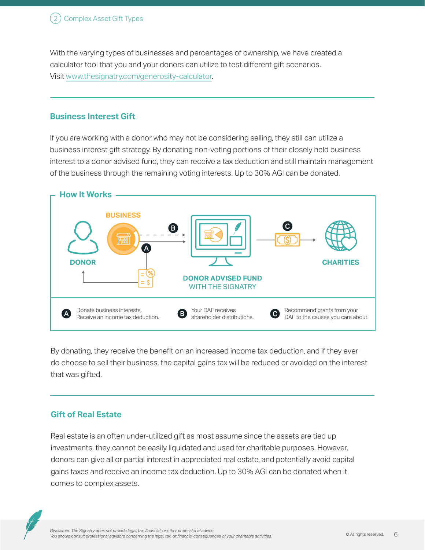With the varying types of businesses and percentages of ownership, we have created a calculator tool that you and your donors can utilize to test diferent gift scenarios. Visit [www.thesignatry.com/generosity-calculator](http://www.thesignatry.com/generosity-calculator).

#### **Business Interest Gift**

If you are working with a donor who may not be considering selling, they still can utilize a business interest gift strategy. By donating non-voting portions of their closely held business interest to a donor advised fund, they can receive a tax deduction and still maintain management of the business through the remaining voting interests. Up to 30% AGI can be donated.



By donating, they receive the benefit on an increased income tax deduction, and if they ever do choose to sell their business, the capital gains tax will be reduced or avoided on the interest that was gifted.

### **Gift of Real Estate**

Real estate is an often under-utilized gift as most assume since the assets are tied up investments, they cannot be easily liquidated and used for charitable purposes. However, donors can give all or partial interest in appreciated real estate, and potentially avoid capital gains taxes and receive an income tax deduction. Up to 30% AGI can be donated when it comes to complex assets.

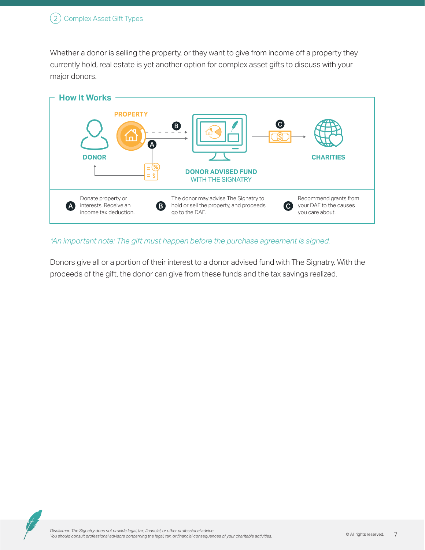Whether a donor is selling the property, or they want to give from income off a property they currently hold, real estate is yet another option for complex asset gifts to discuss with your major donors.



#### *\*An important note: The gift must happen before the purchase agreement is signed.*

Donors give all or a portion of their interest to a donor advised fund with The Signatry. With the proceeds of the gift, the donor can give from these funds and the tax savings realized.

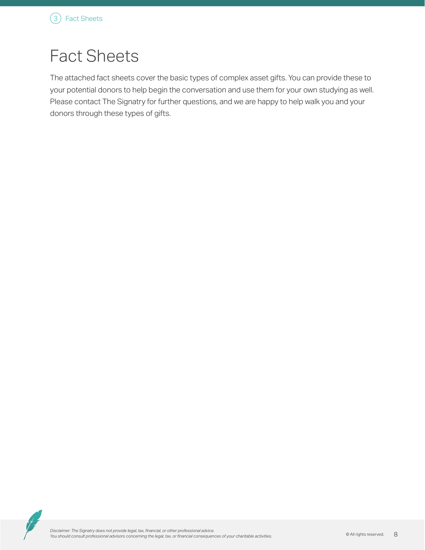# Fact Sheets

The attached fact sheets cover the basic types of complex asset gifts. You can provide these to your potential donors to help begin the conversation and use them for your own studying as well. Please contact The Signatry for further questions, and we are happy to help walk you and your donors through these types of gifts.

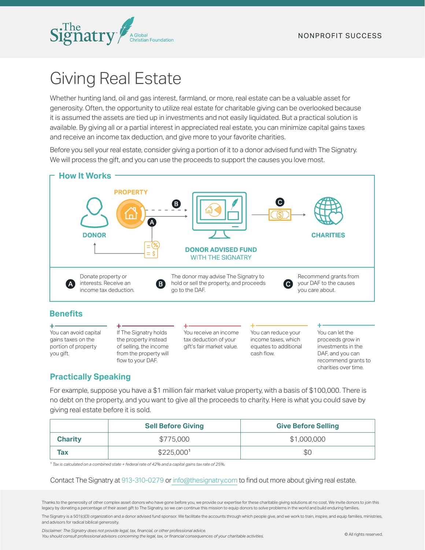

# Giving Real Estate

Whether hunting land, oil and gas interest, farmland, or more, real estate can be a valuable asset for generosity. Often, the opportunity to utilize real estate for charitable giving can be overlooked because it is assumed the assets are tied up in investments and not easily liquidated. But a practical solution is available. By giving all or a partial interest in appreciated real estate, you can minimize capital gains taxes and receive an income tax deduction, and give more to your favorite charities.

Before you sell your real estate, consider giving a portion of it to a donor advised fund with The Signatry. We will process the gift, and you can use the proceeds to support the causes you love most.



gains taxes on the portion of property you gift.

the property instead of selling, the income from the property will flow to your DAF.

tax deduction of your gift's fair market value. income taxes, which equates to additional cash flow.

proceeds grow in investments in the DAF, and you can recommend grants to charities over time.

### **Practically Speaking**

For example, suppose you have a \$1 million fair market value property, with a basis of \$100,000. There is no debt on the property, and you want to give all the proceeds to charity. Here is what you could save by giving real estate before it is sold.

|                | <b>Sell Before Giving</b> | <b>Give Before Selling</b> |
|----------------|---------------------------|----------------------------|
| <b>Charity</b> | \$775,000                 | \$1,000,000                |
| <b>Tax</b>     | \$225,000 <sup>1</sup>    | \$0                        |

*ǂ Tax is calculated on a combined state + federal rate of 42% and a capital gains tax rate of 25%.*

#### Contact The Signatry at 913-310-0279 or info@thesignatry.com to find out more about giving real estate.

Thanks to the generosity of other complex asset donors who have gone before you, we provide our expertise for these charitable giving solutions at no cost. We invite donors to join this legacy by donating a percentage of their asset gift to The Signatry, so we can continue this mission to equip donors to solve problems in the world and build enduring families.

The Signatry is a 501(c)(3) organization and a donor advised fund sponsor. We facilitate the accounts through which people give, and we work to train, inspire, and equip families, ministries, and advisors for radical biblical generosity.

*Disclaimer: The Signatry does not provide legal, tax, fnancial, or other professional advice.* 

*You should consult professional advisors concerning the legal, tax, or fnancial consequences of your charitable activities.*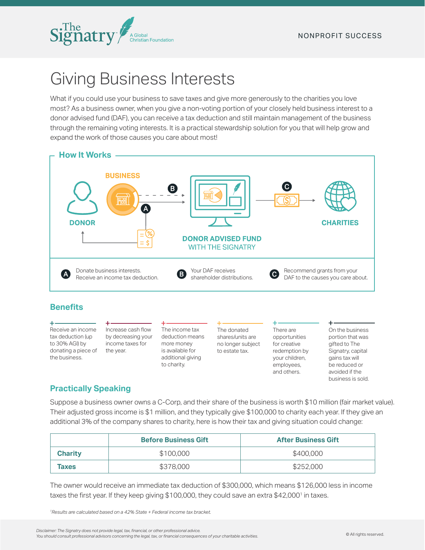

# Giving Business Interests

What if you could use your business to save taxes and give more generously to the charities you love most? As a business owner, when you give a non-voting portion of your closely held business interest to a donor advised fund (DAF), you can receive a tax deduction and still maintain management of the business through the remaining voting interests. It is a practical stewardship solution for you that will help grow and expand the work of those causes you care about most!



### **Benefits**

÷ Receive an income tax deduction (up to 30% AGI) by donating a piece of the business.

Increase cash flow by decreasing your income taxes for the year.

The income tax deduction means more money is available for additional giving to charity.

The donated shares/units are no longer subject to estate tax.

There are opportunities for creative redemption by your children, employees, and others.

On the business portion that was gifted to The Signatry, capital gains tax will be reduced or avoided if the business is sold.

 $\ddot{}$ 

### **Practically Speaking**

Suppose a business owner owns a C-Corp, and their share of the business is worth \$10 million (fair market value). Their adjusted gross income is \$1 million, and they typically give \$100,000 to charity each year. If they give an additional 3% of the company shares to charity, here is how their tax and giving situation could change:

|                | <b>Before Business Gift</b> | <b>After Business Gift</b> |
|----------------|-----------------------------|----------------------------|
| <b>Charity</b> | \$100,000                   | \$400,000                  |
| <b>Taxes</b>   | \$378,000                   | \$252,000                  |

The owner would receive an immediate tax deduction of \$300,000, which means \$126,000 less in income taxes the first year. If they keep giving \$100,000, they could save an extra \$42,000<sup>1</sup> in taxes.

*1Results are calculated based on a 42% State + Federal income tax bracket.*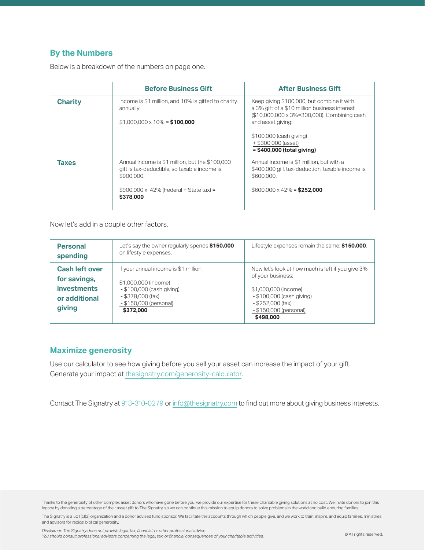### **By the Numbers**

Below is a breakdown of the numbers on page one.

|                | <b>Before Business Gift</b>                                                                                                                                                  | <b>After Business Gift</b>                                                                                                                                                                                                                        |
|----------------|------------------------------------------------------------------------------------------------------------------------------------------------------------------------------|---------------------------------------------------------------------------------------------------------------------------------------------------------------------------------------------------------------------------------------------------|
| <b>Charity</b> | Income is \$1 million, and 10% is gifted to charity<br>annually:<br>$$1,000,000 \times 10\% = $100,000$                                                                      | Keep giving \$100,000, but combine it with<br>a 3% gift of a \$10 million business interest<br>(\$10,000,000 x 3%=300,000). Combining cash<br>and asset giving:<br>\$100,000 (cash giving)<br>+ \$300,000 (asset)<br>$=$ \$400,000 (total giving) |
| <b>Taxes</b>   | Annual income is \$1 million, but the \$100,000<br>gift is tax-deductible, so taxable income is<br>\$900.000.<br>$$900,000 \times 42\%$ (Federal + State tax) =<br>\$378,000 | Annual income is \$1 million, but with a<br>\$400,000 gift tax-deduction, taxable income is<br>\$600,000.<br>$$600,000 \times 42\% = $252,000$                                                                                                    |

Now let's add in a couple other factors.

| <b>Personal</b><br>spending                                                            | Let's say the owner regularly spends \$150,000<br>on lifestyle expenses.                                                                                 | Lifestyle expenses remain the same: \$150,000.                                                                                                                                            |
|----------------------------------------------------------------------------------------|----------------------------------------------------------------------------------------------------------------------------------------------------------|-------------------------------------------------------------------------------------------------------------------------------------------------------------------------------------------|
| <b>Cash left over</b><br>for savings,<br><b>investments</b><br>or additional<br>giving | If your annual income is \$1 million:<br>\$1,000,000 (income)<br>- \$100,000 (cash giving)<br>$-$ \$378,000 (tax)<br>- \$150,000 (personal)<br>\$372,000 | Now let's look at how much is left if you give 3%<br>of your business:<br>\$1,000,000 (income)<br>- \$100,000 (cash giving)<br>$-$ \$252,000 (tax)<br>- \$150,000 (personal)<br>\$498,000 |

#### **Maximize generosity**

Use our calculator to see how giving before you sell your asset can increase the impact of your gift. Generate your impact at thesignatry.com/generosity-calculator.

Contact The Signatry at 913-310-0279 or info@thesignatry.com to find out more about giving business interests.

Thanks to the generosity of other complex asset donors who have gone before you, we provide our expertise for these charitable giving solutions at no cost. We invite donors to join this legacy by donating a percentage of their asset gift to The Signatry, so we can continue this mission to equip donors to solve problems in the world and build enduring families.

The Signatry is a 501(c)(3) organization and a donor advised fund sponsor. We facilitate the accounts through which people give, and we work to train, inspire, and equip families, ministries, and advisors for radical biblical generosity.

*Disclaimer: The Signatry does not provide legal, tax, fnancial, or other professional advice. You should consult professional advisors concerning the legal, tax, or fnancial consequences of your charitable activities.*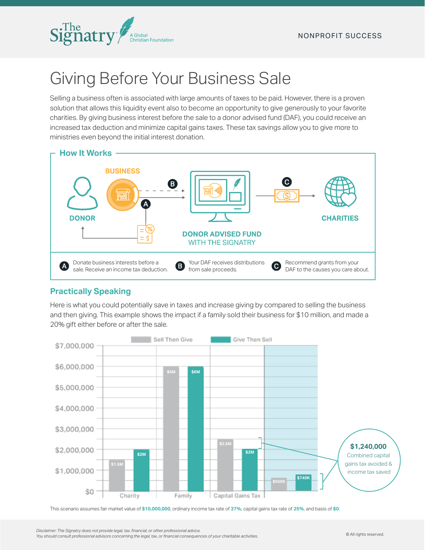

# Giving Before Your Business Sale

Selling a business often is associated with large amounts of taxes to be paid. However, there is a proven solution that allows this liquidity event also to become an opportunity to give generously to your favorite charities. By giving business interest before the sale to a donor advised fund (DAF), you could receive an increased tax deduction and minimize capital gains taxes. These tax savings allow you to give more to ministries even beyond the initial interest donation.



### **Practically Speaking**

Here is what you could potentially save in taxes and increase giving by compared to selling the business and then giving. This example shows the impact if a family sold their business for \$10 million, and made a 20% gift either before or after the sale.



This scenario assumes fair market value of **\$10,000,000**, ordinary income tax rate of **37%**, capital gains tax rate of **25%**, and basis of **\$0**.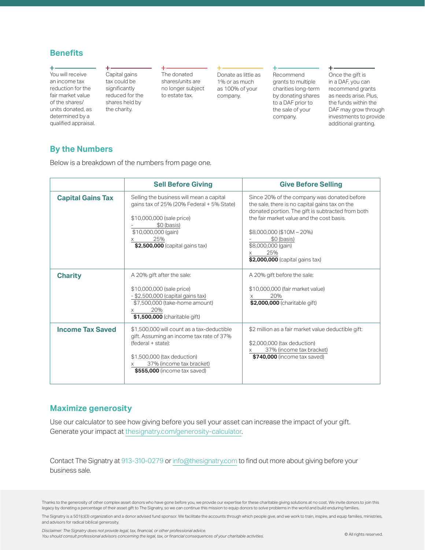#### **Benefits**

You will receive an income tax reduction for the fair market value of the shares/ units donated, as determined by a qualifed appraisal. Capital gains tax could be significantly reduced for the shares held by the charity.

The donated shares/units are no longer subject to estate tax.

Donate as little as 1% or as much as 100% of your company.

#### $\ddotplus$

Recommend grants to multiple charities long-term by donating shares to a DAF prior to the sale of your company.

Once the gift is in a DAF, you can recommend grants as needs arise. Plus, the funds within the DAF may grow through investments to provide additional granting.

÷.

#### **By the Numbers**

Below is a breakdown of the numbers from page one.

|                          | <b>Sell Before Giving</b>                                                                                                                                                                               | <b>Give Before Selling</b>                                                                                                                                                                                                                                                                                |
|--------------------------|---------------------------------------------------------------------------------------------------------------------------------------------------------------------------------------------------------|-----------------------------------------------------------------------------------------------------------------------------------------------------------------------------------------------------------------------------------------------------------------------------------------------------------|
| <b>Capital Gains Tax</b> | Selling the business will mean a capital<br>gains tax of 25% (20% Federal + 5% State)<br>\$10,000,000 (sale price)<br>\$0 (basis)<br>\$10,000,000 (gain)<br>25%<br>\$2,500,000 (capital gains tax)      | Since 20% of the company was donated before<br>the sale, there is no capital gains tax on the<br>donated portion. The gift is subtracted from both<br>the fair market value and the cost basis.<br>\$8,000,000 (\$10M-20%)<br>\$0 (basis)<br>\$8,000,000 (gain)<br>25%<br>\$2,000,000 (capital gains tax) |
| <b>Charity</b>           | A 20% gift after the sale:<br>\$10,000,000 (sale price)<br>- \$2,500,000 (capital gains tax)<br>\$7,500,000 (take-home amount)<br>20%<br>\$1,500,000 (charitable gift)                                  | A 20% gift before the sale:<br>\$10,000,000 (fair market value)<br>20%<br>\$2,000,000 (charitable gift)                                                                                                                                                                                                   |
| <b>Income Tax Saved</b>  | \$1.500.000 will count as a tax-deductible<br>gift. Assuming an income tax rate of 37%<br>(federal + state):<br>\$1,500,000 (tax deduction)<br>37% (income tax bracket)<br>\$555,000 (income tax saved) | \$2 million as a fair market value deductible gift:<br>\$2,000,000 (tax deduction)<br>37% (income tax bracket)<br>\$740,000 (income tax saved)                                                                                                                                                            |

#### **Maximize generosity**

Use our calculator to see how giving before you sell your asset can increase the impact of your gift. Generate your impact at thesignatry.com/generosity-calculator.

Contact The Signatry at 913-310-0279 or info@thesignatry.com to fnd out more about giving before your business sale.

Thanks to the generosity of other complex asset donors who have gone before you, we provide our expertise for these charitable giving solutions at no cost. We invite donors to join this legacy by donating a percentage of their asset gift to The Signatry, so we can continue this mission to equip donors to solve problems in the world and build enduring families.

The Signatry is a 501(c)(3) organization and a donor advised fund sponsor. We facilitate the accounts through which people give, and we work to train, inspire, and equip families, ministries, and advisors for radical biblical generosity.

*Disclaimer: The Signatry does not provide legal, tax, fnancial, or other professional advice.* 

*You should consult professional advisors concerning the legal, tax, or fnancial consequences of your charitable activities.*